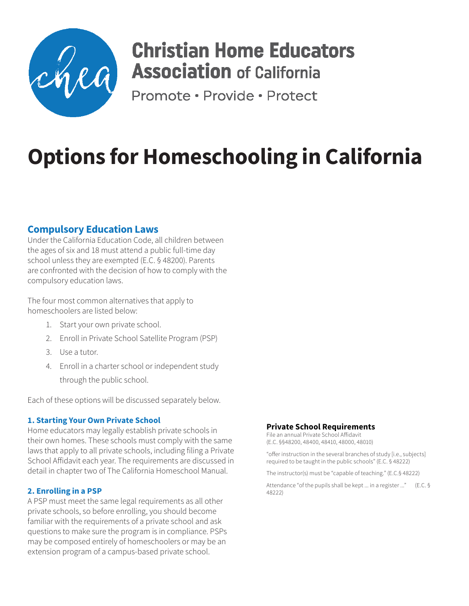

## **Christian Home Educators Association** of California

Promote · Provide · Protect

# **Options for Homeschooling in California**

### **Compulsory Education Laws**

Under the California Education Code, all children between the ages of six and 18 must attend a public full-time day school unless they are exempted (E.C. § 48200). Parents are confronted with the decision of how to comply with the compulsory education laws.

The four most common alternatives that apply to homeschoolers are listed below:

- 1. Start your own private school.
- 2. Enroll in Private School Satellite Program (PSP)
- 3. Use a tutor.
- 4. Enroll in a charter school or independent study through the public school.

Each of these options will be discussed separately below.

#### **1. Starting Your Own Private School**

Home educators may legally establish private schools in their own homes. These schools must comply with the same laws that apply to all private schools, including filing a Private School Affidavit each year. The requirements are discussed in detail in chapter two of The California Homeschool Manual.

#### **2. Enrolling in a PSP**

A PSP must meet the same legal requirements as all other private schools, so before enrolling, you should become familiar with the requirements of a private school and ask questions to make sure the program is in compliance. PSPs may be composed entirely of homeschoolers or may be an extension program of a campus-based private school.

#### **Private School Requirements**

File an annual Private School Affidavit (E.C. §§48200, 48400, 48410, 48000, 48010)

"offer instruction in the several branches of study [i.e., subjects] required to be taught in the public schools" (E.C. § 48222)

The instructor(s) must be "capable of teaching." (E.C.§ 48222)

Attendance "of the pupils shall be kept ... in a register ..." (E.C. § 48222)